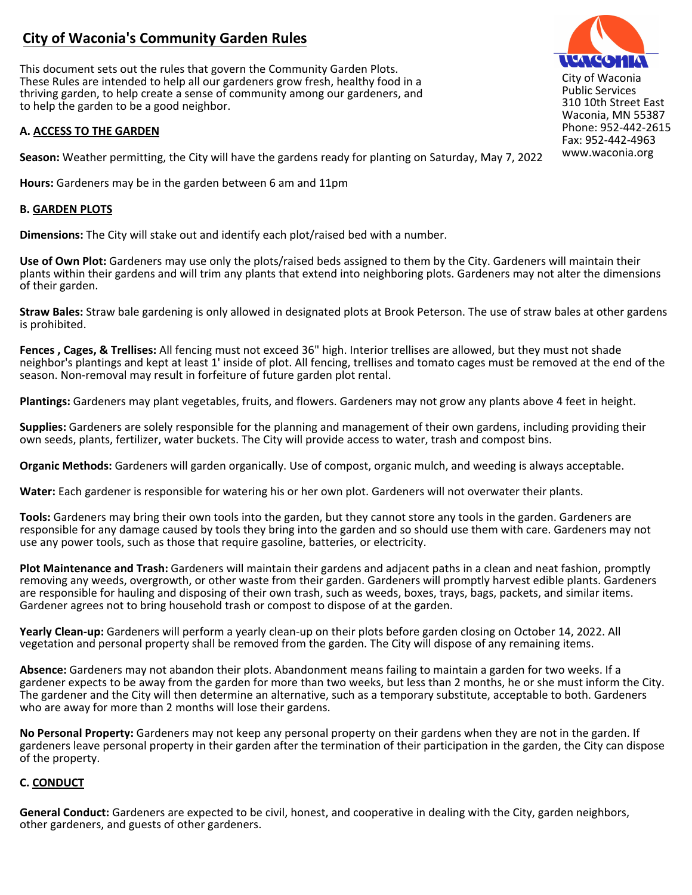# **City of Waconia's Community Garden Rules**

This document sets out the rules that govern the Community Garden Plots. These Rules are intended to help all our gardeners grow fresh, healthy food in a thriving garden, to help create a sense of community among our gardeners, and to help the garden to be a good neighbor.

## **A. ACCESS TO THE GARDEN**

**Season:** Weather permitting, the City will have the gardens ready for planting on Saturday, May 7, 2022

**Hours:** Gardeners may be in the garden between 6 am and 11pm

### **B. GARDEN PLOTS**

**Dimensions:** The City will stake out and identify each plot/raised bed with a number.

**Use of Own Plot:** Gardeners may use only the plots/raised beds assigned to them by the City. Gardeners will maintain their plants within their gardens and will trim any plants that extend into neighboring plots. Gardeners may not alter the dimensions of their garden.

**Straw Bales:** Straw bale gardening is only allowed in designated plots at Brook Peterson. The use of straw bales at other gardens is prohibited.

**Fences , Cages, & Trellises:** All fencing must not exceed 36" high. Interior trellises are allowed, but they must not shade neighbor's plantings and kept at least 1' inside of plot. All fencing, trellises and tomato cages must be removed at the end of the season. Non-removal may result in forfeiture of future garden plot rental.

**Plantings:** Gardeners may plant vegetables, fruits, and flowers. Gardeners may not grow any plants above 4 feet in height.

**Supplies:** Gardeners are solely responsible for the planning and management of their own gardens, including providing their own seeds, plants, fertilizer, water buckets. The City will provide access to water, trash and compost bins.

**Organic Methods:** Gardeners will garden organically. Use of compost, organic mulch, and weeding is always acceptable.

**Water:** Each gardener is responsible for watering his or her own plot. Gardeners will not overwater their plants.

**Tools:** Gardeners may bring their own tools into the garden, but they cannot store any tools in the garden. Gardeners are responsible for any damage caused by tools they bring into the garden and so should use them with care. Gardeners may not use any power tools, such as those that require gasoline, batteries, or electricity.

**Plot Maintenance and Trash:** Gardeners will maintain their gardens and adjacent paths in a clean and neat fashion, promptly removing any weeds, overgrowth, or other waste from their garden. Gardeners will promptly harvest edible plants. Gardeners are responsible for hauling and disposing of their own trash, such as weeds, boxes, trays, bags, packets, and similar items. Gardener agrees not to bring household trash or compost to dispose of at the garden.

**Yearly Clean-up:** Gardeners will perform a yearly clean-up on their plots before garden closing on October 14, 2022. All vegetation and personal property shall be removed from the garden. The City will dispose of any remaining items.

**Absence:** Gardeners may not abandon their plots. Abandonment means failing to maintain a garden for two weeks. If a gardener expects to be away from the garden for more than two weeks, but less than 2 months, he or she must inform the City. The gardener and the City will then determine an alternative, such as a temporary substitute, acceptable to both. Gardeners who are away for more than 2 months will lose their gardens.

**No Personal Property:** Gardeners may not keep any personal property on their gardens when they are not in the garden. If gardeners leave personal property in their garden after the termination of their participation in the garden, the City can dispose of the property.

## **C. CONDUCT**

**General Conduct:** Gardeners are expected to be civil, honest, and cooperative in dealing with the City, garden neighbors, other gardeners, and guests of other gardeners.



City of Waconia Public Services 310 10th Street East Waconia, MN 55387 Phone: 952-442-2615 Fax: 952-442-4963 www.waconia.org